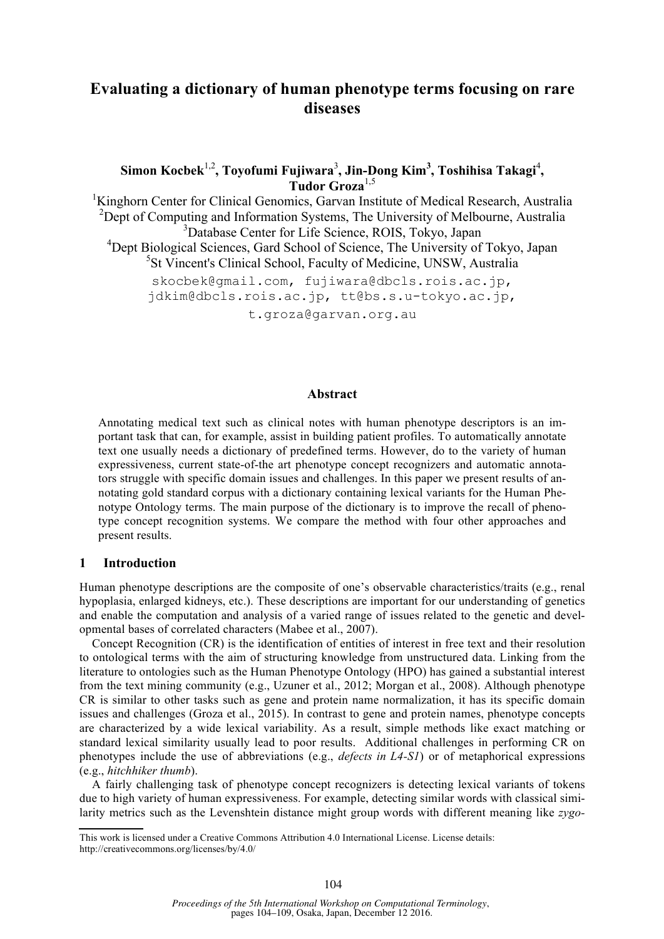# **Evaluating a dictionary of human phenotype terms focusing on rare diseases**

# **Simon Kocbek**1,2**, Toyofumi Fujiwara**<sup>3</sup> **, Jin-Dong Kim3 , Toshihisa Takagi**<sup>4</sup> **, Tudor Groza**1,5

<sup>1</sup>Kinghorn Center for Clinical Genomics, Garvan Institute of Medical Research, Australia <sup>2</sup>Dept of Computing and Information Systems, The University of Melbourne, Australia 3 Database Center for Life Science, ROIS, Tokyo, Japan <sup>4</sup>Dept Biological Sciences, Gard School of Science, The University of Tokyo, Japan 5 St Vincent's Clinical School, Faculty of Medicine, UNSW, Australia skocbek@gmail.com, fujiwara@dbcls.rois.ac.jp, jdkim@dbcls.rois.ac.jp, tt@bs.s.u-tokyo.ac.jp,

t.groza@garvan.org.au

#### **Abstract**

Annotating medical text such as clinical notes with human phenotype descriptors is an important task that can, for example, assist in building patient profiles. To automatically annotate text one usually needs a dictionary of predefined terms. However, do to the variety of human expressiveness, current state-of-the art phenotype concept recognizers and automatic annotators struggle with specific domain issues and challenges. In this paper we present results of annotating gold standard corpus with a dictionary containing lexical variants for the Human Phenotype Ontology terms. The main purpose of the dictionary is to improve the recall of phenotype concept recognition systems. We compare the method with four other approaches and present results.

#### **1 Introduction**

Human phenotype descriptions are the composite of one's observable characteristics/traits (e.g., renal hypoplasia, enlarged kidneys, etc.). These descriptions are important for our understanding of genetics and enable the computation and analysis of a varied range of issues related to the genetic and developmental bases of correlated characters (Mabee et al., 2007).

Concept Recognition (CR) is the identification of entities of interest in free text and their resolution to ontological terms with the aim of structuring knowledge from unstructured data. Linking from the literature to ontologies such as the Human Phenotype Ontology (HPO) has gained a substantial interest from the text mining community (e.g., Uzuner et al., 2012; Morgan et al., 2008). Although phenotype CR is similar to other tasks such as gene and protein name normalization, it has its specific domain issues and challenges (Groza et al., 2015). In contrast to gene and protein names, phenotype concepts are characterized by a wide lexical variability. As a result, simple methods like exact matching or standard lexical similarity usually lead to poor results. Additional challenges in performing CR on phenotypes include the use of abbreviations (e.g., *defects in L4-S1*) or of metaphorical expressions (e.g., *hitchhiker thumb*).

A fairly challenging task of phenotype concept recognizers is detecting lexical variants of tokens due to high variety of human expressiveness. For example, detecting similar words with classical similarity metrics such as the Levenshtein distance might group words with different meaning like *zygo-*

This work is licensed under a Creative Commons Attribution 4.0 International License. License details: http://creativecommons.org/licenses/by/4.0/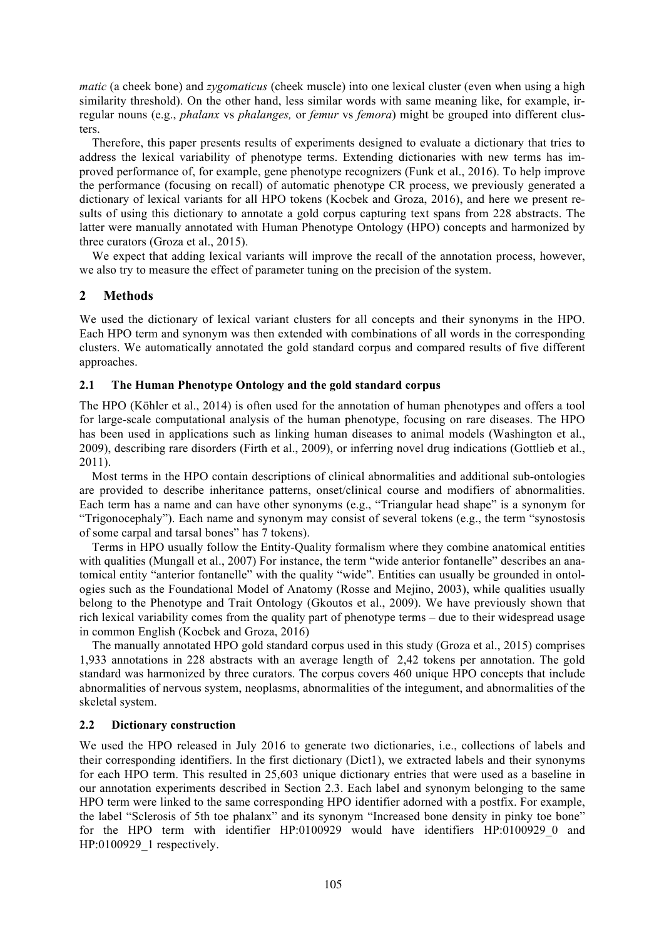*matic* (a cheek bone) and *zygomaticus* (cheek muscle) into one lexical cluster (even when using a high similarity threshold). On the other hand, less similar words with same meaning like, for example, irregular nouns (e.g., *phalanx* vs *phalanges,* or *femur* vs *femora*) might be grouped into different clusters.

Therefore, this paper presents results of experiments designed to evaluate a dictionary that tries to address the lexical variability of phenotype terms. Extending dictionaries with new terms has improved performance of, for example, gene phenotype recognizers (Funk et al., 2016). To help improve the performance (focusing on recall) of automatic phenotype CR process, we previously generated a dictionary of lexical variants for all HPO tokens (Kocbek and Groza, 2016), and here we present results of using this dictionary to annotate a gold corpus capturing text spans from 228 abstracts. The latter were manually annotated with Human Phenotype Ontology (HPO) concepts and harmonized by three curators (Groza et al., 2015).

We expect that adding lexical variants will improve the recall of the annotation process, however, we also try to measure the effect of parameter tuning on the precision of the system.

# **2 Methods**

We used the dictionary of lexical variant clusters for all concepts and their synonyms in the HPO. Each HPO term and synonym was then extended with combinations of all words in the corresponding clusters. We automatically annotated the gold standard corpus and compared results of five different approaches.

## **2.1 The Human Phenotype Ontology and the gold standard corpus**

The HPO (Köhler et al., 2014) is often used for the annotation of human phenotypes and offers a tool for large-scale computational analysis of the human phenotype, focusing on rare diseases. The HPO has been used in applications such as linking human diseases to animal models (Washington et al., 2009), describing rare disorders (Firth et al., 2009), or inferring novel drug indications (Gottlieb et al., 2011).

Most terms in the HPO contain descriptions of clinical abnormalities and additional sub-ontologies are provided to describe inheritance patterns, onset/clinical course and modifiers of abnormalities. Each term has a name and can have other synonyms (e.g., "Triangular head shape" is a synonym for "Trigonocephaly"). Each name and synonym may consist of several tokens (e.g., the term "synostosis of some carpal and tarsal bones" has 7 tokens).

Terms in HPO usually follow the Entity-Quality formalism where they combine anatomical entities with qualities (Mungall et al., 2007) For instance, the term "wide anterior fontanelle" describes an anatomical entity "anterior fontanelle" with the quality "wide"*.* Entities can usually be grounded in ontologies such as the Foundational Model of Anatomy (Rosse and Mejino, 2003), while qualities usually belong to the Phenotype and Trait Ontology (Gkoutos et al., 2009). We have previously shown that rich lexical variability comes from the quality part of phenotype terms – due to their widespread usage in common English (Kocbek and Groza, 2016)

The manually annotated HPO gold standard corpus used in this study (Groza et al., 2015) comprises 1,933 annotations in 228 abstracts with an average length of 2,42 tokens per annotation. The gold standard was harmonized by three curators. The corpus covers 460 unique HPO concepts that include abnormalities of nervous system, neoplasms, abnormalities of the integument, and abnormalities of the skeletal system.

### **2.2 Dictionary construction**

We used the HPO released in July 2016 to generate two dictionaries, i.e., collections of labels and their corresponding identifiers. In the first dictionary (Dict1), we extracted labels and their synonyms for each HPO term. This resulted in 25,603 unique dictionary entries that were used as a baseline in our annotation experiments described in Section 2.3. Each label and synonym belonging to the same HPO term were linked to the same corresponding HPO identifier adorned with a postfix. For example, the label "Sclerosis of 5th toe phalanx" and its synonym "Increased bone density in pinky toe bone" for the HPO term with identifier HP:0100929 would have identifiers HP:0100929\_0 and HP:0100929\_1 respectively.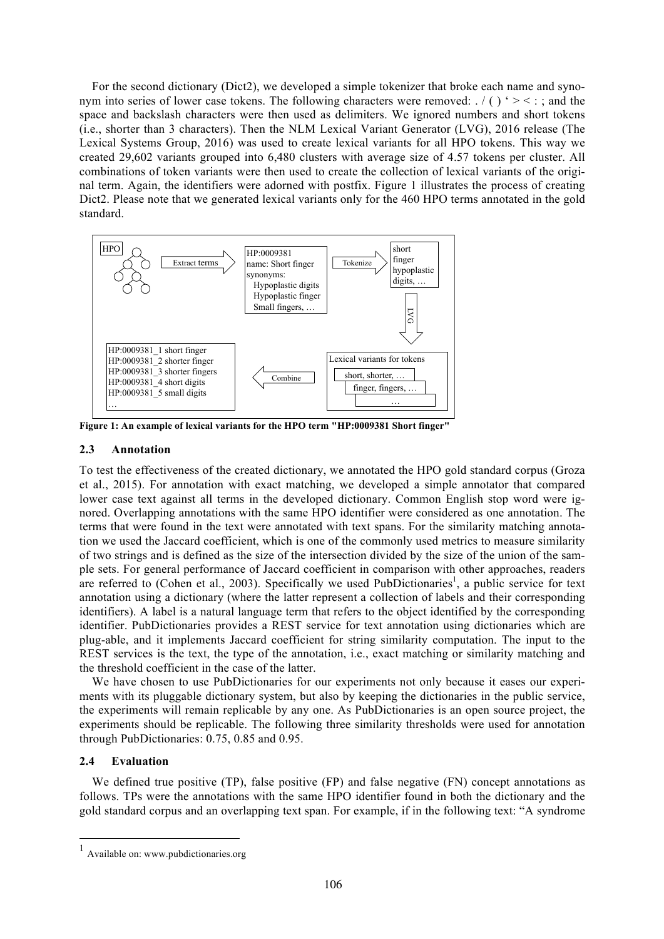For the second dictionary (Dict2), we developed a simple tokenizer that broke each name and synonym into series of lower case tokens. The following characters were removed:  $\ell$  ( ) ' > < : ; and the space and backslash characters were then used as delimiters. We ignored numbers and short tokens (i.e., shorter than 3 characters). Then the NLM Lexical Variant Generator (LVG), 2016 release (The Lexical Systems Group, 2016) was used to create lexical variants for all HPO tokens. This way we created 29,602 variants grouped into 6,480 clusters with average size of 4.57 tokens per cluster. All combinations of token variants were then used to create the collection of lexical variants of the original term. Again, the identifiers were adorned with postfix. Figure 1 illustrates the process of creating Dict2. Please note that we generated lexical variants only for the 460 HPO terms annotated in the gold standard.



**Figure 1: An example of lexical variants for the HPO term "HP:0009381 Short finger"**

### **2.3 Annotation**

To test the effectiveness of the created dictionary, we annotated the HPO gold standard corpus (Groza et al., 2015). For annotation with exact matching, we developed a simple annotator that compared lower case text against all terms in the developed dictionary. Common English stop word were ignored. Overlapping annotations with the same HPO identifier were considered as one annotation. The terms that were found in the text were annotated with text spans. For the similarity matching annotation we used the Jaccard coefficient, which is one of the commonly used metrics to measure similarity of two strings and is defined as the size of the intersection divided by the size of the union of the sample sets. For general performance of Jaccard coefficient in comparison with other approaches, readers are referred to (Cohen et al., 2003). Specifically we used PubDictionaries<sup>1</sup>, a public service for text annotation using a dictionary (where the latter represent a collection of labels and their corresponding identifiers). A label is a natural language term that refers to the object identified by the corresponding identifier. PubDictionaries provides a REST service for text annotation using dictionaries which are plug-able, and it implements Jaccard coefficient for string similarity computation. The input to the REST services is the text, the type of the annotation, i.e., exact matching or similarity matching and the threshold coefficient in the case of the latter.

We have chosen to use PubDictionaries for our experiments not only because it eases our experiments with its pluggable dictionary system, but also by keeping the dictionaries in the public service, the experiments will remain replicable by any one. As PubDictionaries is an open source project, the experiments should be replicable. The following three similarity thresholds were used for annotation through PubDictionaries: 0.75, 0.85 and 0.95.

## **2.4 Evaluation**

We defined true positive (TP), false positive (FP) and false negative (FN) concept annotations as follows. TPs were the annotations with the same HPO identifier found in both the dictionary and the gold standard corpus and an overlapping text span. For example, if in the following text: "A syndrome

<sup>1</sup> Available on: www.pubdictionaries.org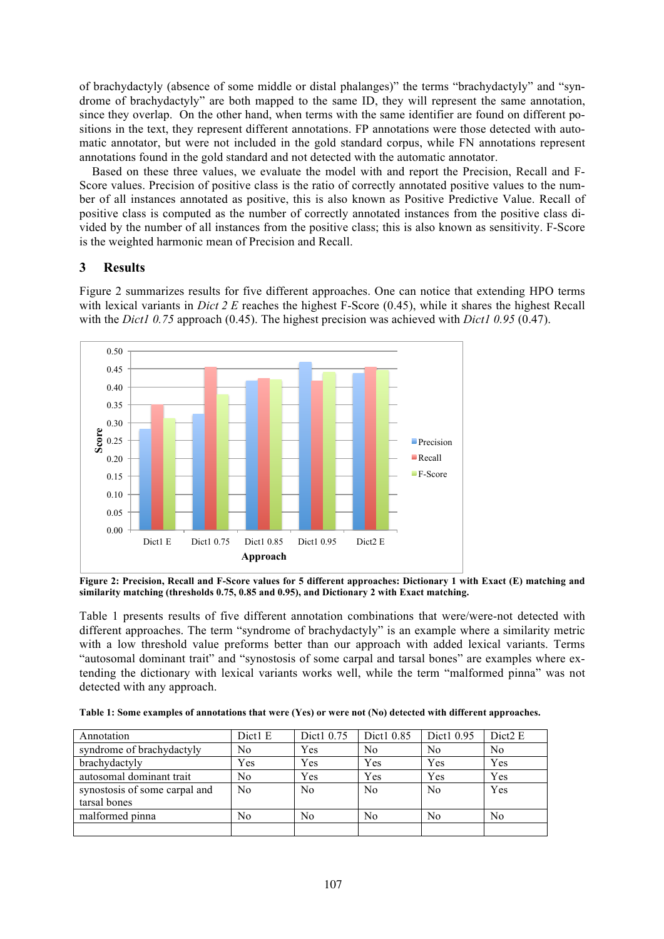of brachydactyly (absence of some middle or distal phalanges)" the terms "brachydactyly" and "syndrome of brachydactyly" are both mapped to the same ID, they will represent the same annotation, since they overlap. On the other hand, when terms with the same identifier are found on different positions in the text, they represent different annotations. FP annotations were those detected with automatic annotator, but were not included in the gold standard corpus, while FN annotations represent annotations found in the gold standard and not detected with the automatic annotator.

Based on these three values, we evaluate the model with and report the Precision, Recall and F-Score values. Precision of positive class is the ratio of correctly annotated positive values to the number of all instances annotated as positive, this is also known as Positive Predictive Value. Recall of positive class is computed as the number of correctly annotated instances from the positive class divided by the number of all instances from the positive class; this is also known as sensitivity. F-Score is the weighted harmonic mean of Precision and Recall.

## **3 Results**

Figure 2 summarizes results for five different approaches. One can notice that extending HPO terms with lexical variants in *Dict 2 E* reaches the highest F-Score (0.45), while it shares the highest Recall with the *Dict1 0.75* approach (0.45). The highest precision was achieved with *Dict1 0.95* (0.47).



**Figure 2: Precision, Recall and F-Score values for 5 different approaches: Dictionary 1 with Exact (E) matching and similarity matching (thresholds 0.75, 0.85 and 0.95), and Dictionary 2 with Exact matching.**

Table 1 presents results of five different annotation combinations that were/were-not detected with different approaches. The term "syndrome of brachydactyly" is an example where a similarity metric with a low threshold value preforms better than our approach with added lexical variants. Terms "autosomal dominant trait" and "synostosis of some carpal and tarsal bones" are examples where extending the dictionary with lexical variants works well, while the term "malformed pinna" was not detected with any approach.

**Table 1: Some examples of annotations that were (Yes) or were not (No) detected with different approaches.** 

| Annotation                    | Dict1 E        | Dict1 0.75     | Dict1 0.85     | Dict1 0.95     | Dict <sub>2</sub> E |
|-------------------------------|----------------|----------------|----------------|----------------|---------------------|
| syndrome of brachydactyly     | No             | Yes            | N <sub>0</sub> | No             | N <sub>0</sub>      |
| brachydactyly                 | Yes            | Yes            | Yes            | Yes            | Yes                 |
| autosomal dominant trait      | No             | Yes            | Yes            | Yes            | Yes                 |
| synostosis of some carpal and | N <sub>0</sub> | N <sub>0</sub> | N <sub>0</sub> | N <sub>0</sub> | Yes                 |
| tarsal bones                  |                |                |                |                |                     |
| malformed pinna               | No             | N <sub>0</sub> | N <sub>0</sub> | No             | No                  |
|                               |                |                |                |                |                     |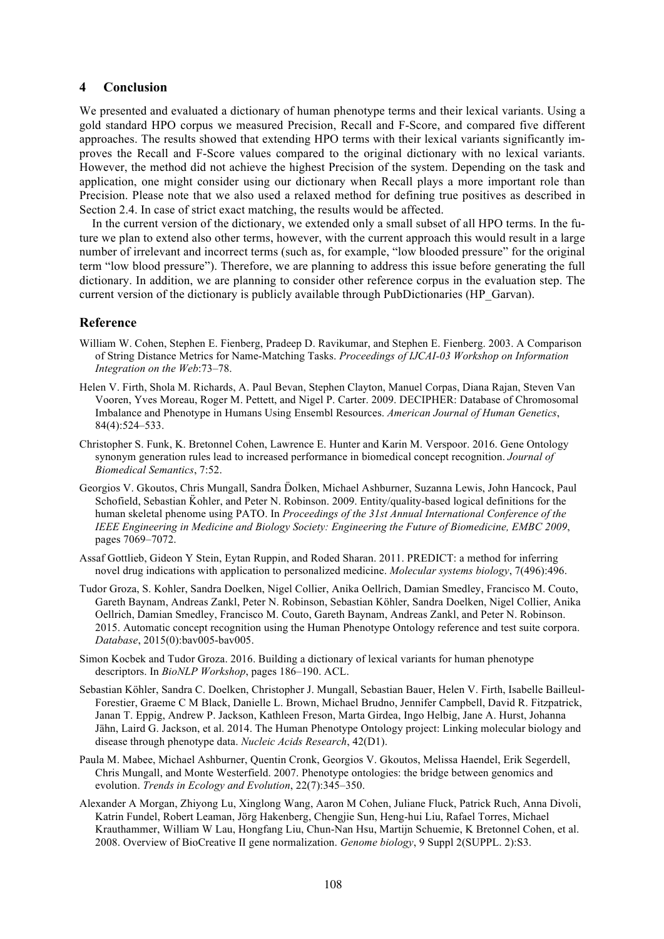#### **4 Conclusion**

We presented and evaluated a dictionary of human phenotype terms and their lexical variants. Using a gold standard HPO corpus we measured Precision, Recall and F-Score, and compared five different approaches. The results showed that extending HPO terms with their lexical variants significantly improves the Recall and F-Score values compared to the original dictionary with no lexical variants. However, the method did not achieve the highest Precision of the system. Depending on the task and application, one might consider using our dictionary when Recall plays a more important role than Precision. Please note that we also used a relaxed method for defining true positives as described in Section 2.4. In case of strict exact matching, the results would be affected.

In the current version of the dictionary, we extended only a small subset of all HPO terms. In the future we plan to extend also other terms, however, with the current approach this would result in a large number of irrelevant and incorrect terms (such as, for example, "low blooded pressure" for the original term "low blood pressure"). Therefore, we are planning to address this issue before generating the full dictionary. In addition, we are planning to consider other reference corpus in the evaluation step. The current version of the dictionary is publicly available through PubDictionaries (HP\_Garvan).

### **Reference**

- William W. Cohen, Stephen E. Fienberg, Pradeep D. Ravikumar, and Stephen E. Fienberg. 2003. A Comparison of String Distance Metrics for Name-Matching Tasks. *Proceedings of IJCAI-03 Workshop on Information Integration on the Web*:73–78.
- Helen V. Firth, Shola M. Richards, A. Paul Bevan, Stephen Clayton, Manuel Corpas, Diana Rajan, Steven Van Vooren, Yves Moreau, Roger M. Pettett, and Nigel P. Carter. 2009. DECIPHER: Database of Chromosomal Imbalance and Phenotype in Humans Using Ensembl Resources. *American Journal of Human Genetics*, 84(4):524–533.
- Christopher S. Funk, K. Bretonnel Cohen, Lawrence E. Hunter and Karin M. Verspoor. 2016. Gene Ontology synonym generation rules lead to increased performance in biomedical concept recognition. *Journal of Biomedical Semantics*, 7:52.
- Georgios V. Gkoutos, Chris Mungall, Sandra D̈olken, Michael Ashburner, Suzanna Lewis, John Hancock, Paul Schofield, Sebastian Könler, and Peter N. Robinson. 2009. Entity/quality-based logical definitions for the human skeletal phenome using PATO. In *Proceedings of the 31st Annual International Conference of the IEEE Engineering in Medicine and Biology Society: Engineering the Future of Biomedicine, EMBC 2009*, pages 7069–7072.
- Assaf Gottlieb, Gideon Y Stein, Eytan Ruppin, and Roded Sharan. 2011. PREDICT: a method for inferring novel drug indications with application to personalized medicine. *Molecular systems biology*, 7(496):496.
- Tudor Groza, S. Kohler, Sandra Doelken, Nigel Collier, Anika Oellrich, Damian Smedley, Francisco M. Couto, Gareth Baynam, Andreas Zankl, Peter N. Robinson, Sebastian Köhler, Sandra Doelken, Nigel Collier, Anika Oellrich, Damian Smedley, Francisco M. Couto, Gareth Baynam, Andreas Zankl, and Peter N. Robinson. 2015. Automatic concept recognition using the Human Phenotype Ontology reference and test suite corpora. *Database*, 2015(0):bav005-bav005.
- Simon Kocbek and Tudor Groza. 2016. Building a dictionary of lexical variants for human phenotype descriptors. In *BioNLP Workshop*, pages 186–190. ACL.
- Sebastian Köhler, Sandra C. Doelken, Christopher J. Mungall, Sebastian Bauer, Helen V. Firth, Isabelle Bailleul-Forestier, Graeme C M Black, Danielle L. Brown, Michael Brudno, Jennifer Campbell, David R. Fitzpatrick, Janan T. Eppig, Andrew P. Jackson, Kathleen Freson, Marta Girdea, Ingo Helbig, Jane A. Hurst, Johanna Jähn, Laird G. Jackson, et al. 2014. The Human Phenotype Ontology project: Linking molecular biology and disease through phenotype data. *Nucleic Acids Research*, 42(D1).
- Paula M. Mabee, Michael Ashburner, Quentin Cronk, Georgios V. Gkoutos, Melissa Haendel, Erik Segerdell, Chris Mungall, and Monte Westerfield. 2007. Phenotype ontologies: the bridge between genomics and evolution. *Trends in Ecology and Evolution*, 22(7):345–350.
- Alexander A Morgan, Zhiyong Lu, Xinglong Wang, Aaron M Cohen, Juliane Fluck, Patrick Ruch, Anna Divoli, Katrin Fundel, Robert Leaman, Jörg Hakenberg, Chengjie Sun, Heng-hui Liu, Rafael Torres, Michael Krauthammer, William W Lau, Hongfang Liu, Chun-Nan Hsu, Martijn Schuemie, K Bretonnel Cohen, et al. 2008. Overview of BioCreative II gene normalization. *Genome biology*, 9 Suppl 2(SUPPL. 2):S3.